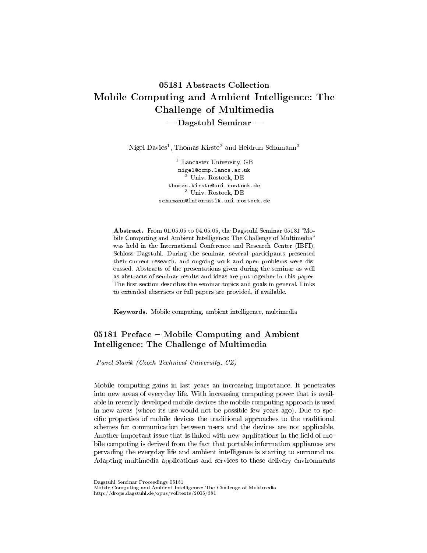# 05181 Abstracts Collection Mobile Computing and Ambient Intelligence: The Challenge of Multimedia  $-$  Dagstuhl Seminar  $-$

Nigel Davies<sup>1</sup>, Thomas Kirste<sup>2</sup> and Heidrun Schumann<sup>3</sup>

<sup>1</sup> Lancaster University, GB nigel@comp.lancs.ac.uk Univ. Rostock, DE thomas.kirste@uni-rostock.de <sup>3</sup> Univ. Rostock, DE schumann@informatik.uni-rostock.de

Abstract. From 01.05.05 to 04.05.05, the Dagstuhl Seminar 05181 "Mobile Computing and Ambient Intelligence: The Challenge of Multimedia was held in the International Conference and Research Center (IBFI), Schloss Dagstuhl. During the seminar, several participants presented their current research, and ongoing work and open problems were discussed. Abstracts of the presentations given during the seminar as well as abstracts of seminar results and ideas are put together in this paper. The first section describes the seminar topics and goals in general. Links to extended abstracts or full papers are provided, if available.

Keywords. Mobile computing, ambient intelligence, multimedia

# $05181$  Preface – Mobile Computing and Ambient Intelligence: The Challenge of Multimedia

Pavel Slavik (Czech Technical University, CZ)

Mobile computing gains in last years an increasing importance. It penetrates into new areas of everyday life. With increasing computing power that is available in recently developed mobile devices the mobile computing approach is used in new areas (where its use would not be possible few years ago). Due to specific properties of mobile devices the traditional approaches to the traditional schemes for communication between users and the devices are not applicable. Another important issue that is linked with new applications in the field of mobile computing is derived from the fact that portable information appliances are pervading the everyday life and ambient intelligence is starting to surround us. Adapting multimedia applications and services to these delivery environments

Dagstuhl Seminar Proceedings 05181

Mobile Computing and Ambient Intelligence: The Challenge of Multimedia http://drops.dagstuhl.de/opus/volltexte/2005/381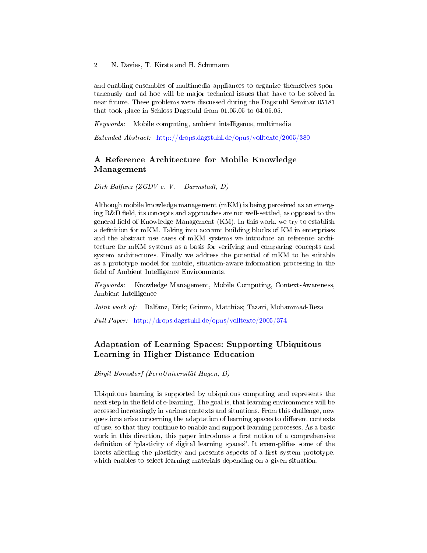and enabling ensembles of multimedia appliances to organize themselves spontaneously and ad hoc will be major technical issues that have to be solved in near future. These problems were discussed during the Dagstuhl Seminar 05181 that took place in Schloss Dagstuhl from 01.05.05 to 04.05.05.

Keywords: Mobile computing, ambient intelligence, multimedia

Extended Abstract: <http://drops.dagstuhl.de/opus/volltexte/2005/380>

# A Reference Architecture for Mobile Knowledge Management

Dirk Balfanz (ZGDV e. V. – Darmstadt, D)

Although mobile knowledge management (mKM) is being perceived as an emerging  $R&D$  field, its concepts and approaches are not well-settled, as opposed to the general field of Knowledge Management (KM). In this work, we try to establish a definition for mKM. Taking into account building blocks of KM in enterprises and the abstract use cases of mKM systems we introduce an reference architecture for mKM systems as a basis for verifying and comparing concepts and system architectures. Finally we address the potential of mKM to be suitable as a prototype model for mobile, situation-aware information processing in the field of Ambient Intelligence Environments.

Keywords: Knowledge Management, Mobile Computing, Context-Awareness, Ambient Intelligence

Joint work of: Balfanz, Dirk; Grimm, Matthias; Tazari, Mohammad-Reza

Full Paper: <http://drops.dagstuhl.de/opus/volltexte/2005/374>

## Adaptation of Learning Spaces: Supporting Ubiquitous Learning in Higher Distance Education

Birgit Bomsdorf (FernUniversität Hagen, D)

Ubiquitous learning is supported by ubiquitous computing and represents the next step in the field of e-learning. The goal is, that learning environments will be accessed increasingly in various contexts and situations. From this challenge, new questions arise concerning the adaptation of learning spaces to different contexts of use, so that they continue to enable and support learning processes. As a basic work in this direction, this paper introduces a first notion of a comprehensive definition of "plasticity of digital learning spaces". It exem-plifies some of the facets affecting the plasticity and presents aspects of a first system prototype, which enables to select learning materials depending on a given situation.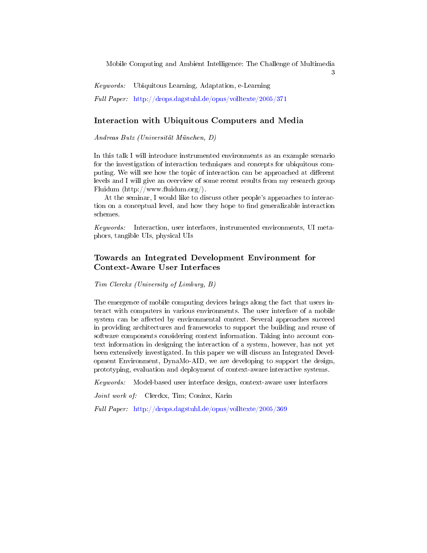3

Keywords: Ubiquitous Learning, Adaptation, e-Learning

Full Paper: <http://drops.dagstuhl.de/opus/volltexte/2005/371>

### Interaction with Ubiquitous Computers and Media

Andreas Butz (Universität München, D)

In this talk I will introduce instrumented environments as an example scenario for the investigation of interaction techniques and concepts for ubiquitous computing. We will see how the topic of interaction can be approached at different levels and I will give an overview of some recent results from my research group Fluidum  $(\text{http://www.duidum.org/}).$ 

At the seminar, I would like to discuss other people's approaches to interaction on a conceptual level, and how they hope to find generalizable interaction schemes.

Keywords: Interaction, user interfaces, instrumented environments, UI metaphors, tangible UIs, physical UIs

# Towards an Integrated Development Environment for Context-Aware User Interfaces

Tim Clerckx (University of Limburg, B)

The emergence of mobile computing devices brings along the fact that users interact with computers in various environments. The user interface of a mobile system can be affected by environmental context. Several approaches succeed in providing architectures and frameworks to support the building and reuse of software components considering context information. Taking into account context information in designing the interaction of a system, however, has not yet been extensively investigated. In this paper we will discuss an Integrated Development Environment, DynaMo-AID, we are developing to support the design, prototyping, evaluation and deployment of context-aware interactive systems.

Keywords: Model-based user interface design, context-aware user interfaces

Joint work of: Clerckx, Tim; Coninx, Karin

Full Paper: <http://drops.dagstuhl.de/opus/volltexte/2005/369>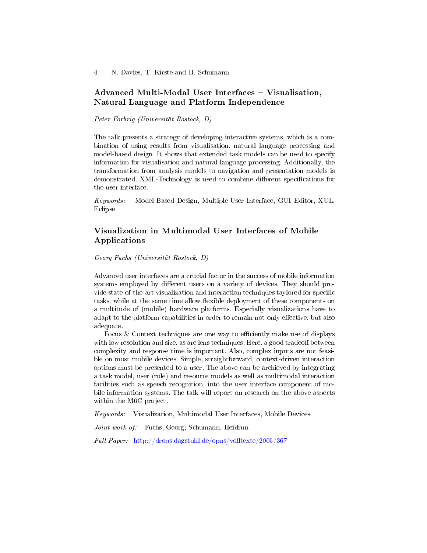## Advanced Multi-Modal User Interfaces - Visualisation, Natural Language and Platform Independence

Peter Forbrig (Universität Rostock, D)

The talk presents a strategy of developing interactive systems, which is a combination of using results from visualisation, natural language processing and model-based design. It shows that extended task models can be used to specify information for visualisation and natural language processing. Additionally, the transformation from analysis models to navigation and presentation models is demonstrated. XML-Technology is used to combine different specifications for the user interface.

Keywords: Model-Based Design, Multiple-User Interface, GUI Editor, XUL, Eclipse

# Visualization in Multimodal User Interfaces of Mobile Applications

Georg Fuchs (Universität Rostock, D)

Advanced user interfaces are a crucial factor in the success of mobile information systems employed by different users on a variety of devices. They should provide state-of-the-art visualization and interaction techniques taylored for specific tasks, while at the same time allow flexible deployment of these components on a multitude of (mobile) hardware platforms. Especially visualizations have to adapt to the platform capabilities in order to remain not only effective, but also adequate.

Focus  $&$  Context techniques are one way to efficiently make use of displays with low resolution and size, as are lens techniques. Here, a good tradeoff between complexity and response time is important. Also, complex inputs are not feasible on most mobile devices. Simple, straightforward, context-driven interaction options must be presented to a user. The above can be archieved by integrating a task model, user (role) and resource models as well as multimodal interaction facilities such as speech recognition, into the user interface component of mobile information systems. The talk will report on research on the above aspects within the M6C project.

Keywords: Visualization, Multimodal User Interfaces, Mobile Devices

Joint work of: Fuchs, Georg; Schumann, Heidrun

Full Paper: <http://drops.dagstuhl.de/opus/volltexte/2005/367>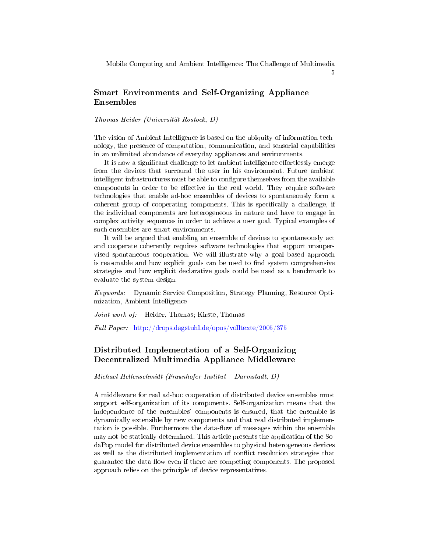5

## Smart Environments and Self-Organizing Appliance Ensembles

Thomas Heider (Universität Rostock, D)

The vision of Ambient Intelligence is based on the ubiquity of information technology, the presence of computation, communication, and sensorial capabilities in an unlimited abundance of everyday appliances and environments.

It is now a significant challenge to let ambient intelligence effortlessly emerge from the devices that surround the user in his environment. Future ambient intelligent infrastructures must be able to configure themselves from the available components in order to be effective in the real world. They require software technologies that enable ad-hoc ensembles of devices to spontaneously form a coherent group of cooperating components. This is specifically a challenge, if the individual components are heterogeneous in nature and have to engage in complex activity sequences in order to achieve a user goal. Typical examples of such ensembles are smart environments.

It will be argued that enabling an ensemble of devices to spontaneously act and cooperate coherently requires software technologies that support unsupervised spontaneous cooperation. We will illustrate why a goal based approach is reasonable and how explicit goals can be used to find system comprehensive strategies and how explicit declarative goals could be used as a benchmark to evaluate the system design.

Keywords: Dynamic Service Composition, Strategy Planning, Resource Optimization, Ambient Intelligence

Joint work of: Heider, Thomas; Kirste, Thomas

Full Paper: <http://drops.dagstuhl.de/opus/volltexte/2005/375>

## Distributed Implementation of a Self-Organizing Decentralized Multimedia Appliance Middleware

Michael Hellenschmidt (Fraunhofer Institut - Darmstadt, D)

A middleware for real ad-hoc cooperation of distributed device ensembles must support self-organization of its components. Self-organization means that the independence of the ensembles' components is ensured, that the ensemble is dynamically extensible by new components and that real distributed implementation is possible. Furthermore the data-flow of messages within the ensemble may not be statically determined. This article presents the application of the SodaPop model for distributed device ensembles to physical heterogeneous devices as well as the distributed implementation of conflict resolution strategies that guarantee the data-flow even if there are competing components. The proposed approach relies on the principle of device representatives.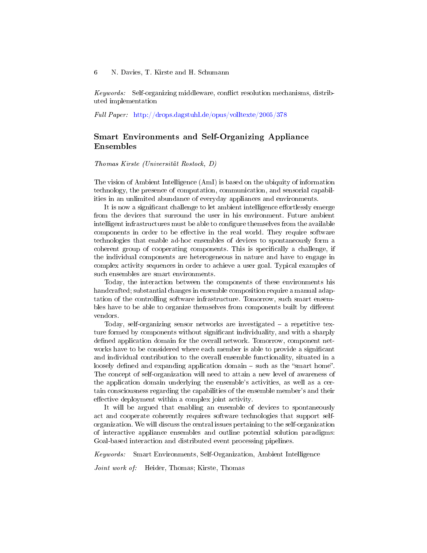Keywords: Self-organizing middleware, conflict resolution mechanisms, distributed implementation

Full Paper: <http://drops.dagstuhl.de/opus/volltexte/2005/378>

### Smart Environments and Self-Organizing Appliance Ensembles

#### Thomas Kirste (Universität Rostock, D)

The vision of Ambient Intelligence (AmI) is based on the ubiquity of information technology, the presence of computation, communication, and sensorial capabilities in an unlimited abundance of everyday appliances and environments.

It is now a significant challenge to let ambient intelligence effortlessly emerge from the devices that surround the user in his environment. Future ambient intelligent infrastructures must be able to configure themselves from the available components in order to be effective in the real world. They require software technologies that enable ad-hoc ensembles of devices to spontaneously form a coherent group of cooperating components. This is specifically a challenge, if the individual components are heterogeneous in nature and have to engage in complex activity sequences in order to achieve a user goal. Typical examples of such ensembles are smart environments.

Today, the interaction between the components of these environments his handcrafted; substantial changes in ensemble composition require a manual adaptation of the controlling software infrastructure. Tomorrow, such smart ensembles have to be able to organize themselves from components built by different vendors.

Today, self-organizing sensor networks are investigated  $-$  a repetitive texture formed by components without significant individuality, and with a sharply defined application domain for the overall network. Tomorrow, component networks have to be considered where each member is able to provide a signicant and individual contribution to the overall ensemble functionality, situated in a loosely defined and expanding application domain  $-$  such as the "smart home". The concept of self-organization will need to attain a new level of awareness of the application domain underlying the ensemble's activities, as well as a certain consciousness regarding the capabilities of the ensemble member's and their effective deployment within a complex joint activity.

It will be argued that enabling an ensemble of devices to spontaneously act and cooperate coherently requires software technologies that support selforganization. We will discuss the central issues pertaining to the self-organization of interactive appliance ensembles and outline potential solution paradigms: Goal-based interaction and distributed event processing pipelines.

Keywords: Smart Environments, Self-Organization, Ambient Intelligence

Joint work of: Heider, Thomas; Kirste, Thomas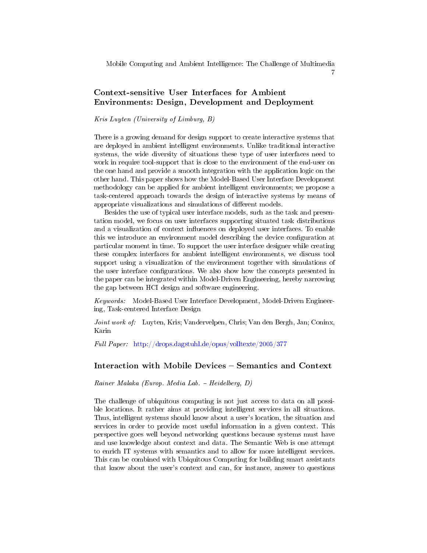7

# Context-sensitive User Interfaces for Ambient Environments: Design, Development and Deployment

### Kris Luyten (University of Limburg, B)

There is a growing demand for design support to create interactive systems that are deployed in ambient intelligent environments. Unlike traditional interactive systems, the wide diversity of situations these type of user interfaces need to work in require tool-support that is close to the environment of the end-user on the one hand and provide a smooth integration with the application logic on the other hand. This paper shows how the Model-Based User Interface Development methodology can be applied for ambient intelligent environments; we propose a task-centered approach towards the design of interactive systems by means of appropriate visualizations and simulations of different models.

Besides the use of typical user interface models, such as the task and presentation model, we focus on user interfaces supporting situated task distributions and a visualization of context influences on deployed user interfaces. To enable this we introduce an environment model describing the device configuration at particular moment in time. To support the user interface designer while creating these complex interfaces for ambient intelligent environments, we discuss tool support using a visualization of the environment together with simulations of the user interface configurations. We also show how the concepts presented in the paper can be integrated within Model-Driven Engineering, hereby narrowing the gap between HCI design and software engineering.

Keywords: Model-Based User Interface Development, Model-Driven Engineering, Task-centered Interface Design

Joint work of: Luyten, Kris; Vandervelpen, Chris; Van den Bergh, Jan; Coninx, Karin

Full Paper: <http://drops.dagstuhl.de/opus/volltexte/2005/377>

### Interaction with Mobile Devices - Semantics and Context

Rainer Malaka (Europ. Media Lab. Heidelberg, D)

The challenge of ubiquitous computing is not just access to data on all possible locations. It rather aims at providing intelligent services in all situations. Thus, intelligent systems should know about a user's location, the situation and services in order to provide most useful information in a given context. This perspective goes well beyond networking questions because systems must have and use knowledge about context and data. The Semantic Web is one attempt to enrich IT systems with semantics and to allow for more intelligent services. This can be combined with Ubiquitous Computing for building smart assistants that know about the user's context and can, for instance, answer to questions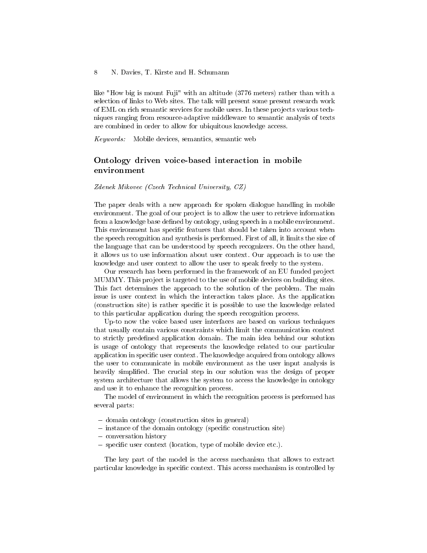like "How big is mount Fuji" with an altitude (3776 meters) rather than with a selection of links to Web sites. The talk will present some present research work of EML on rich semantic services for mobile users. In these projects various techniques ranging from resource-adaptive middleware to semantic analysis of texts are combined in order to allow for ubiquitous knowledge access.

Keywords: Mobile devices, semantics, semantic web

### Ontology driven voice-based interaction in mobile environment

### Zdenek Mikovec (Czech Technical University, CZ)

The paper deals with a new approach for spoken dialogue handling in mobile environment. The goal of our project is to allow the user to retrieve information from a knowledge base defined by ontology, using speech in a mobile environment. This environment has specific features that should be taken into account when the speech recognition and synthesis is performed. First of all, it limits the size of the language that can be understood by speech recognizers. On the other hand, it allows us to use information about user context. Our approach is to use the knowledge and user context to allow the user to speak freely to the system.

Our research has been performed in the framework of an EU funded project MUMMY. This project is targeted to the use of mobile devices on building sites. This fact determines the approach to the solution of the problem. The main issue is user context in which the interaction takes place. As the application (construction site) is rather specific it is possible to use the knowledge related to this particular application during the speech recognition process.

Up-to now the voice based user interfaces are based on various techniques that usually contain various constraints which limit the communication context to strictly predefined application domain. The main idea behind our solution is usage of ontology that represents the knowledge related to our particular application in specific user context. The knowledge acquired from ontology allows the user to communicate in mobile environment as the user input analysis is heavily simplified. The crucial step in our solution was the design of proper system architecture that allows the system to access the knowledge in ontology and use it to enhance the recognition process.

The model of environment in which the recognition process is performed has several parts:

- $\sim$  domain ontology (construction sites in general)
- $\overline{\phantom{a}}$  instance of the domain ontology (specific construction site)
- conversation history
- specific user context (location, type of mobile device etc.).

The key part of the model is the access mechanism that allows to extract particular knowledge in specific context. This access mechanism is controlled by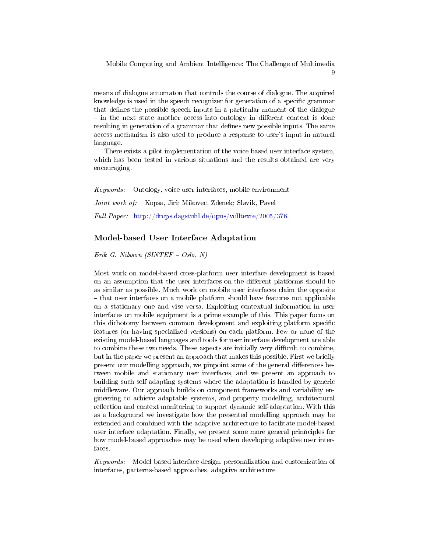means of dialogue automaton that controls the course of dialogue. The acquired knowledge is used in the speech recognizer for generation of a specific grammar that defines the possible speech inputs in a particular moment of the dialogue  $\overline{\phantom{a}}$  in the next state another access into ontology in different context is done resulting in generation of a grammar that defines new possible inputs. The same access mechanism is also used to produce a response to user's input in natural language.

There exists a pilot implementation of the voice based user interface system, which has been tested in various situations and the results obtained are very encouraging.

Keywords: Ontology, voice user interfaces, mobile environment Joint work of: Kopsa, Jiri; Mikovec, Zdenek; Slavik, Pavel Full Paper: <http://drops.dagstuhl.de/opus/volltexte/2005/376>

### Model-based User Interface Adaptation

Erik G. Nilsson (SINTEF  $-$  Oslo, N)

Most work on model-based cross-platform user interface development is based on an assumption that the user interfaces on the different platforms should be as similar as possible. Much work on mobile user interfaces claim the opposite - that user interfaces on a mobile platform should have features not applicable on a stationary one and vise versa. Exploiting contextual information in user interfaces on mobile equipment is a prime example of this. This paper focus on this dichotomy between common development and exploiting platform specific features (or having specialized versions) on each platform. Few or none of the existing model-based languages and tools for user interface development are able to combine these two needs. These aspects are initially very difficult to combine, but in the paper we present an approach that makes this possible. First we briefly present our modelling approach, we pinpoint some of the general differences between mobile and stationary user interfaces, and we present an approach to building such self adapting systems where the adaptation is handled by generic middleware. Our approach builds on component frameworks and variability engineering to achieve adaptable systems, and property modelling, architectural reflection and context monitoring to support dynamic self-adaptation. With this as a background we investigate how the presented modelling approach may be extended and combined with the adaptive architecture to facilitate model-based user interface adaptation. Finally, we present some more general prinnciples for how model-based approaches may be used when developing adaptive user interfaces.

Keywords: Model-based interface design, personalization and customization of interfaces, patterns-based approaches, adaptive architecture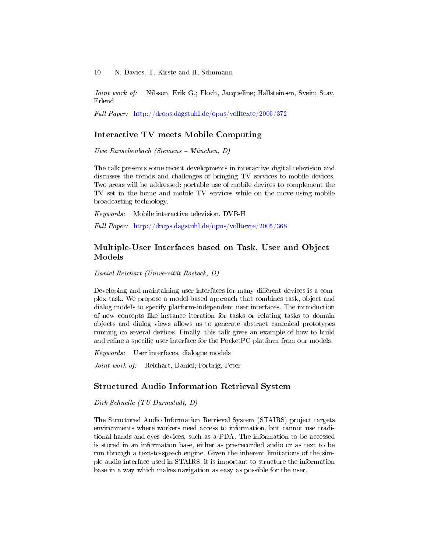Joint work of: Nilsson, Erik G.; Floch, Jacqueline; Hallsteinsen, Svein; Stav, Erlend

Full Paper: <http://drops.dagstuhl.de/opus/volltexte/2005/372>

### Interactive TV meets Mobile Computing

Uwe Rauschenbach (Siemens – München, D)

The talk presents some recent developments in interactive digital television and discusses the trends and challenges of bringing TV services to mobile devices. Two areas will be addressed: portable use of mobile devices to complement the TV set in the home and mobile TV services while on the move using mobile broadcasting technology.

Keywords: Mobile interactive television, DVB-H

Full Paper: <http://drops.dagstuhl.de/opus/volltexte/2005/368>

### Multiple-User Interfaces based on Task, User and Object Models

Daniel Reichart (Universität Rostock, D)

Developing and maintaining user interfaces for many different devices is a complex task. We propose a model-based approach that combines task, object and dialog models to specify platform-independent user interfaces. The introduction of new concepts like instance iteration for tasks or relating tasks to domain objects and dialog views allows us to generate abstract canonical prototypes running on several devices. Finally, this talk gives an example of how to build and refine a specific user interface for the PocketPC-platform from our models.

Keywords: User interfaces, dialogue models

Joint work of: Reichart, Daniel; Forbrig, Peter

### Structured Audio Information Retrieval System

Dirk Schnelle (TU Darmstadt, D)

The Structured Audio Information Retrieval System (STAIRS) project targets environments where workers need access to information, but cannot use traditional hands-and-eyes devices, such as a PDA. The information to be accessed is stored in an information base, either as pre-recorded audio or as text to be run through a text-to-speech engine. Given the inherent limitations of the simple audio interface used in STAIRS, it is important to structure the information base in a way which makes navigation as easy as possible for the user.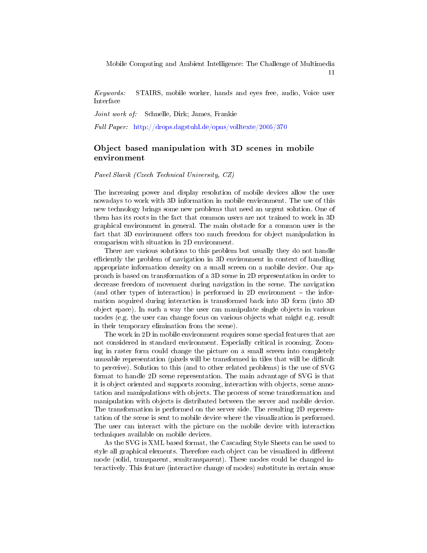Keywords: STAIRS, mobile worker, hands and eyes free, audio, Voice user Interface

Joint work of: Schnelle, Dirk; James, Frankie

Full Paper: <http://drops.dagstuhl.de/opus/volltexte/2005/370>

### Object based manipulation with 3D scenes in mobile environment

Pavel Slavik (Czech Technical University, CZ)

The increasing power and display resolution of mobile devices allow the user nowadays to work with 3D information in mobile environment. The use of this new technology brings some new problems that need an urgent solution. One of them has its roots in the fact that common users are not trained to work in 3D graphical environment in general. The main obstacle for a common user is the fact that 3D environment offers too much freedom for object manipulation in comparison with situation in 2D environment.

There are various solutions to this problem but usually they do not handle efficiently the problem of navigation in 3D environment in context of handling appropriate information density on a small screen on a mobile device. Our approach is based on transformation of a 3D scene in 2D representation in order to decrease freedom of movement during navigation in the scene. The navigation (and other types of interaction) is performed in 2D environment  $-$  the information acquired during interaction is transformed back into 3D form (into 3D object space). In such a way the user can manipulate single objects in various modes (e.g. the user can change focus on various objects what might e.g. result in their temporary elimination from the scene).

The work in 2D in mobile environment requires some special features that are not considered in standard environment. Especially critical is zooming. Zooming in raster form could change the picture on a small screen into completely unusable representation (pixels will be transformed in tiles that will be difficult to perceive). Solution to this (and to other related problems) is the use of SVG format to handle 2D scene representation. The main advantage of SVG is that it is object oriented and supports zooming, interaction with objects, scene annotation and manipulations with objects. The process of scene transformation and manipulation with objects is distributed between the server and mobile device. The transformation is performed on the server side. The resulting 2D representation of the scene is sent to mobile device where the visualization is performed. The user can interact with the picture on the mobile device with interaction techniques available on mobile devices.

As the SVG is XML based format, the Cascading Style Sheets can be used to style all graphical elements. Therefore each object can be visualized in different mode (solid, transparent, semitransparent). These modes could be changed interactively. This feature (interactive change of modes) substitute in certain sense